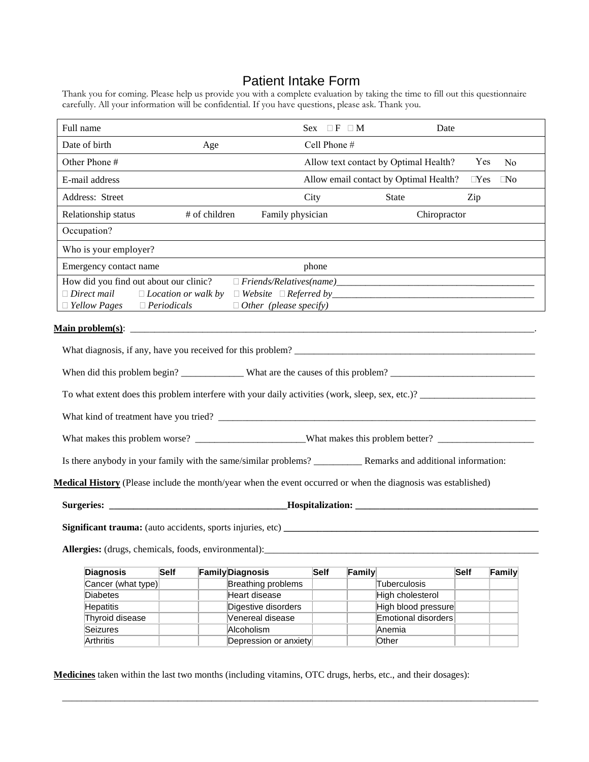### Patient Intake Form

Thank you for coming. Please help us provide you with a complete evaluation by taking the time to fill out this questionnaire carefully. All your information will be confidential. If you have questions, please ask. Thank you.

| Full name                                                                                                             |               |                                     | $Sex \quad \Box F \quad \Box M$ | Date                                   |               |                |
|-----------------------------------------------------------------------------------------------------------------------|---------------|-------------------------------------|---------------------------------|----------------------------------------|---------------|----------------|
| Date of birth                                                                                                         | Age           |                                     | Cell Phone #                    |                                        |               |                |
| Other Phone #                                                                                                         |               |                                     |                                 | Allow text contact by Optimal Health?  | Yes           | N <sub>o</sub> |
| E-mail address                                                                                                        |               |                                     |                                 | Allow email contact by Optimal Health? | $\square$ Yes | $\Box$ No      |
| Address: Street                                                                                                       |               |                                     | City                            | State                                  | Zip           |                |
| Relationship status                                                                                                   | # of children | Family physician                    |                                 | Chiropractor                           |               |                |
| Occupation?                                                                                                           |               |                                     |                                 |                                        |               |                |
| Who is your employer?                                                                                                 |               |                                     |                                 |                                        |               |                |
| Emergency contact name                                                                                                |               |                                     | phone                           |                                        |               |                |
| How did you find out about our clinic?                                                                                |               |                                     |                                 |                                        |               |                |
| $\Box$ Direct mail                                                                                                    |               |                                     |                                 |                                        |               |                |
| $\Box$ Yellow Pages $\Box$ Periodicals                                                                                |               | $\Box$ Other (please specify)       |                                 |                                        |               |                |
|                                                                                                                       |               |                                     |                                 |                                        |               |                |
|                                                                                                                       |               |                                     |                                 |                                        |               |                |
|                                                                                                                       |               |                                     |                                 |                                        |               |                |
|                                                                                                                       |               |                                     |                                 |                                        |               |                |
|                                                                                                                       |               |                                     |                                 |                                        |               |                |
|                                                                                                                       |               |                                     |                                 |                                        |               |                |
|                                                                                                                       |               |                                     |                                 |                                        |               |                |
| Is there anybody in your family with the same/similar problems? _________________ Remarks and additional information: |               |                                     |                                 |                                        |               |                |
| Medical History (Please include the month/year when the event occurred or when the diagnosis was established)         |               |                                     |                                 |                                        |               |                |
|                                                                                                                       |               |                                     |                                 |                                        |               |                |
|                                                                                                                       |               |                                     |                                 |                                        |               |                |
|                                                                                                                       |               |                                     |                                 |                                        |               |                |
|                                                                                                                       |               |                                     |                                 |                                        |               |                |
|                                                                                                                       |               |                                     |                                 |                                        |               |                |
|                                                                                                                       |               |                                     |                                 |                                        |               |                |
| <b>Diagnosis</b>                                                                                                      | Self          | <b>Family Diagnosis</b>             | Self<br>Family                  |                                        | <b>Self</b>   | Family         |
| Cancer (what type)                                                                                                    |               | <b>Breathing problems</b>           |                                 | Tuberculosis                           |               |                |
| <b>Diabetes</b>                                                                                                       |               | Heart disease                       |                                 | High cholesterol                       |               |                |
| Allergies: (drugs, chemicals, foods, environmental):<br><b>Hepatitis</b>                                              |               | Digestive disorders                 |                                 | High blood pressure                    |               |                |
| Thyroid disease                                                                                                       |               | Venereal disease                    |                                 | <b>Emotional disorders</b>             |               |                |
| Seizures                                                                                                              |               | Alcoholism<br>Depression or anxiety |                                 | Anemia                                 |               |                |

**Medicines** taken within the last two months (including vitamins, OTC drugs, herbs, etc., and their dosages):

\_\_\_\_\_\_\_\_\_\_\_\_\_\_\_\_\_\_\_\_\_\_\_\_\_\_\_\_\_\_\_\_\_\_\_\_\_\_\_\_\_\_\_\_\_\_\_\_\_\_\_\_\_\_\_\_\_\_\_\_\_\_\_\_\_\_\_\_\_\_\_\_\_\_\_\_\_\_\_\_\_\_\_\_\_\_\_\_\_\_\_\_\_\_\_\_\_\_\_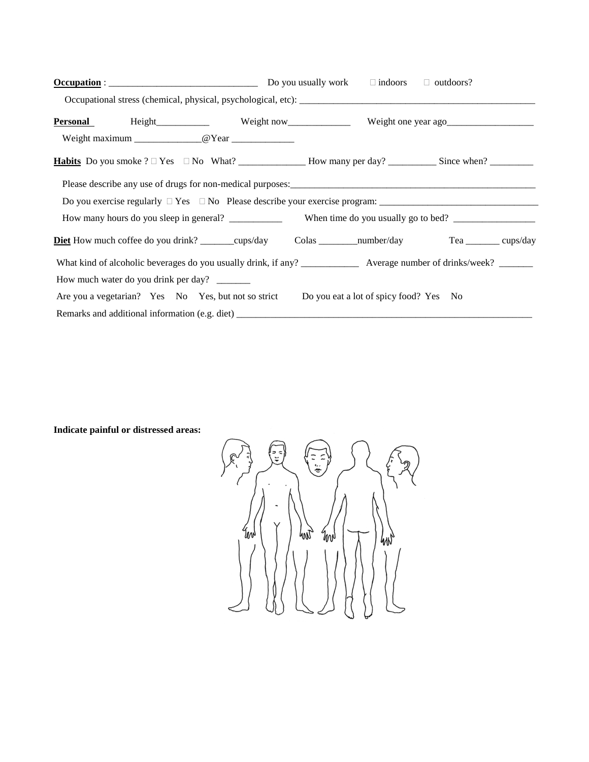| $Occupation : _______$                                                                                                         | Do you usually work $\Box$ indoors $\Box$ outdoors? |  |  |  |
|--------------------------------------------------------------------------------------------------------------------------------|-----------------------------------------------------|--|--|--|
|                                                                                                                                |                                                     |  |  |  |
| Personal Height Height Weight now Weight now Weight one year ago                                                               |                                                     |  |  |  |
|                                                                                                                                |                                                     |  |  |  |
|                                                                                                                                |                                                     |  |  |  |
| Please describe any use of drugs for non-medical purposes:<br><u>Lease describe any use of drugs for non-medical purposes:</u> |                                                     |  |  |  |
|                                                                                                                                |                                                     |  |  |  |
|                                                                                                                                |                                                     |  |  |  |
| <b>Diet</b> How much coffee do you drink? _______cups/day Colas ________number/day Tea __________ cups/day                     |                                                     |  |  |  |
|                                                                                                                                |                                                     |  |  |  |
| How much water do you drink per day? ________                                                                                  |                                                     |  |  |  |
| Are you a vegetarian? Yes No Yes, but not so strict Do you eat a lot of spicy food? Yes No                                     |                                                     |  |  |  |
|                                                                                                                                |                                                     |  |  |  |

#### **Indicate painful or distressed areas:**

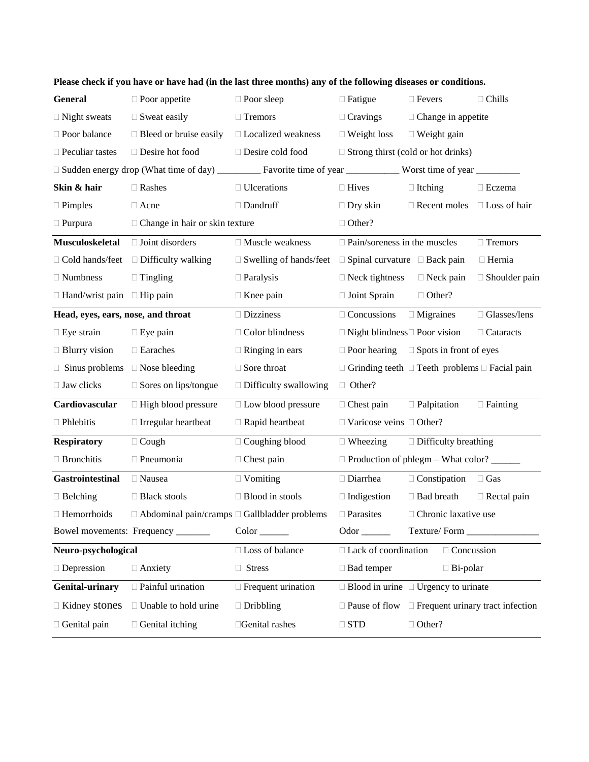| <b>General</b>                                          | $\square$ Poor appetite                                  | $\Box$ Poor sleep             | $\Box$ Fatigue                            | $\Box$ Fevers                                                  | $\Box$ Chills        |
|---------------------------------------------------------|----------------------------------------------------------|-------------------------------|-------------------------------------------|----------------------------------------------------------------|----------------------|
| $\Box$ Night sweats                                     | $\Box$ Sweat easily                                      | □ Tremors                     | $\Box$ Cravings                           | $\Box$ Change in appetite                                      |                      |
| □ Poor balance                                          | $\Box$ Bleed or bruise easily                            | □ Localized weakness          | $\Box$ Weight loss                        | $\Box$ Weight gain                                             |                      |
| $\Box$ Peculiar tastes                                  | □ Desire hot food                                        | □ Desire cold food            |                                           | $\Box$ Strong thirst (cold or hot drinks)                      |                      |
|                                                         |                                                          |                               |                                           |                                                                |                      |
| Skin & hair                                             | $\Box$ Rashes                                            | $\Box$ Ulcerations            | $\Box$ Hives                              | $\Box$ Itching                                                 | $\Box$ Eczema        |
| $\Box$ Pimples                                          | $\Box$ Acne                                              | $\Box$ Dandruff               | $\Box$ Dry skin                           | $\Box$ Recent moles $\Box$ Loss of hair                        |                      |
| $\Box$ Purpura<br>$\Box$ Change in hair or skin texture |                                                          | $\Box$ Other?                 |                                           |                                                                |                      |
| Musculoskeletal                                         | $\Box$ Joint disorders                                   | □ Muscle weakness             | $\Box$ Pain/soreness in the muscles       |                                                                | □ Tremors            |
| □ Cold hands/feet                                       | $\Box$ Difficulty walking                                | $\Box$ Swelling of hands/feet | $\Box$ Spinal curvature $\Box$ Back pain  |                                                                | □ Hernia             |
| $\Box$ Numbness                                         | $\Box$ Tingling                                          | $\Box$ Paralysis              | $\Box$ Neck tightness                     | $\Box$ Neck pain                                               | $\Box$ Shoulder pain |
| $\Box$ Hand/wrist pain $\Box$ Hip pain                  |                                                          | $\Box$ Knee pain              | $\Box$ Joint Sprain                       | $\Box$ Other?                                                  |                      |
| Head, eyes, ears, nose, and throat                      |                                                          | $\square$ Dizziness           | $\Box$ Concussions                        | $\Box$ Migraines                                               | $\Box$ Glasses/lens  |
| $\Box$ Eye strain                                       | $\Box$ Eye pain                                          | $\Box$ Color blindness        | $\Box$ Night blindness $\Box$ Poor vision |                                                                | $\Box$ Cataracts     |
| $\Box$ Blurry vision                                    | □ Earaches                                               | $\Box$ Ringing in ears        |                                           | $\Box$ Poor hearing $\Box$ Spots in front of eyes              |                      |
| $\Box$ Sinus problems $\Box$ Nose bleeding              |                                                          | $\Box$ Sore throat            |                                           | $\Box$ Grinding teeth $\Box$ Teeth problems $\Box$ Facial pain |                      |
| $\Box$ Jaw clicks                                       | $\square$ Sores on lips/tongue                           | $\Box$ Difficulty swallowing  | $\Box$ Other?                             |                                                                |                      |
| Cardiovascular                                          | $\Box$ High blood pressure                               | □ Low blood pressure          | $\Box$ Chest pain                         | $\Box$ Palpitation                                             | $\Box$ Fainting      |
| $\Box$ Phlebitis                                        | $\Box$ Irregular heartbeat                               | $\Box$ Rapid heartbeat        | $\Box$ Varicose veins $\Box$ Other?       |                                                                |                      |
| <b>Respiratory</b>                                      | $\Box$ Cough                                             | $\Box$ Coughing blood         | $\Box$ Wheezing                           | $\Box$ Difficulty breathing                                    |                      |
| $\Box$ Bronchitis                                       | □ Pneumonia                                              | $\Box$ Chest pain             |                                           | □ Production of phlegm – What color? ______                    |                      |
| <b>Gastrointestinal</b>                                 | $\Box$ Nausea                                            | $\Box$ Vomiting               | □ Diarrhea                                | $\Box$ Constipation                                            | $\Box$ Gas           |
| $\Box$ Belching                                         | □ Black stools                                           | $\Box$ Blood in stools        | $\Box$ Indigestion                        | □ Bad breath                                                   | $\Box$ Rectal pain   |
| $\Box$ Hemorrhoids                                      | $\Box$ Abdominal pain/cramps $\Box$ Gallbladder problems |                               | $\Box$ Parasites                          | $\Box$ Chronic laxative use                                    |                      |
|                                                         | Bowel movements: Frequency ______                        | $Color_{\_\_}$                | Odor __________                           |                                                                |                      |
| Neuro-psychological                                     |                                                          | □ Loss of balance             | $\Box$ Lack of coordination               | □ Concussion                                                   |                      |
| $\Box$ Depression                                       | $\Box$ Anxiety                                           | □ Stress                      | $\Box$ Bad temper                         | $\Box$ Bi-polar                                                |                      |
| Genital-urinary                                         | $\Box$ Painful urination                                 | $\Box$ Frequent urination     |                                           | $\Box$ Blood in urine $\Box$ Urgency to urinate                |                      |
| $\Box$ Kidney stones                                    | $\Box$ Unable to hold urine                              | $\Box$ Dribbling              |                                           | $\Box$ Pause of flow $\Box$ Frequent urinary tract infection   |                      |
| $\Box$ Genital pain                                     | $\Box$ Genital itching                                   | □Genital rashes               | $\Box$ STD                                | $\Box$ Other?                                                  |                      |

**Please check if you have or have had (in the last three months) any of the following diseases or conditions.**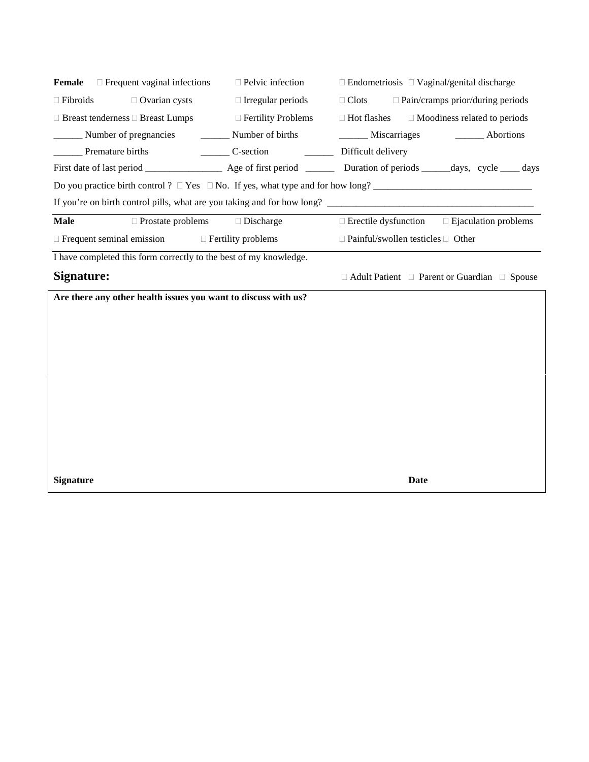|                                                            | <b>Female</b> $\Box$ Frequent vaginal infections                  | $\Box$ Pelvic infection                   | $\Box$ Endometriosis $\Box$ Vaginal/genital discharge                                                                                                                                                                          |  |  |
|------------------------------------------------------------|-------------------------------------------------------------------|-------------------------------------------|--------------------------------------------------------------------------------------------------------------------------------------------------------------------------------------------------------------------------------|--|--|
| $\Box$ Fibroids                                            | $\Box$ Ovarian cysts                                              | $\Box$ Irregular periods                  | $\Box$ Clots $\Box$ Pain/cramps prior/during periods                                                                                                                                                                           |  |  |
|                                                            | $\Box$ Breast tenderness $\Box$ Breast Lumps                      | $\Box$ Fertility Problems                 | $\Box$ Hot flashes<br>$\Box$ Moodiness related to periods                                                                                                                                                                      |  |  |
|                                                            |                                                                   |                                           | Number of pregnancies Communication Communication Communication Communication Communication Communication Communication Communication Communication Communication Communication Communication Communication Communication Comm |  |  |
|                                                            |                                                                   |                                           |                                                                                                                                                                                                                                |  |  |
|                                                            |                                                                   |                                           |                                                                                                                                                                                                                                |  |  |
|                                                            |                                                                   |                                           | Do you practice birth control ? $\Box$ Yes $\Box$ No. If yes, what type and for how long?                                                                                                                                      |  |  |
|                                                            |                                                                   |                                           |                                                                                                                                                                                                                                |  |  |
| <b>Male</b>                                                |                                                                   | $\Box$ Prostate problems $\Box$ Discharge | $\Box$ Erectile dysfunction $\Box$ Ejaculation problems                                                                                                                                                                        |  |  |
| $\Box$ Frequent seminal emission $\Box$ Fertility problems |                                                                   |                                           | $\Box$ Painful/swollen testicles $\Box$ Other                                                                                                                                                                                  |  |  |
|                                                            | I have completed this form correctly to the best of my knowledge. |                                           |                                                                                                                                                                                                                                |  |  |
| Signature:                                                 |                                                                   |                                           | $\Box$ Adult Patient $\Box$ Parent or Guardian $\Box$ Spouse                                                                                                                                                                   |  |  |
|                                                            | Are there any other health issues you want to discuss with us?    |                                           |                                                                                                                                                                                                                                |  |  |
|                                                            |                                                                   |                                           |                                                                                                                                                                                                                                |  |  |
|                                                            |                                                                   |                                           |                                                                                                                                                                                                                                |  |  |
|                                                            |                                                                   |                                           |                                                                                                                                                                                                                                |  |  |
|                                                            |                                                                   |                                           |                                                                                                                                                                                                                                |  |  |
|                                                            |                                                                   |                                           |                                                                                                                                                                                                                                |  |  |
|                                                            |                                                                   |                                           |                                                                                                                                                                                                                                |  |  |

**Signature Date**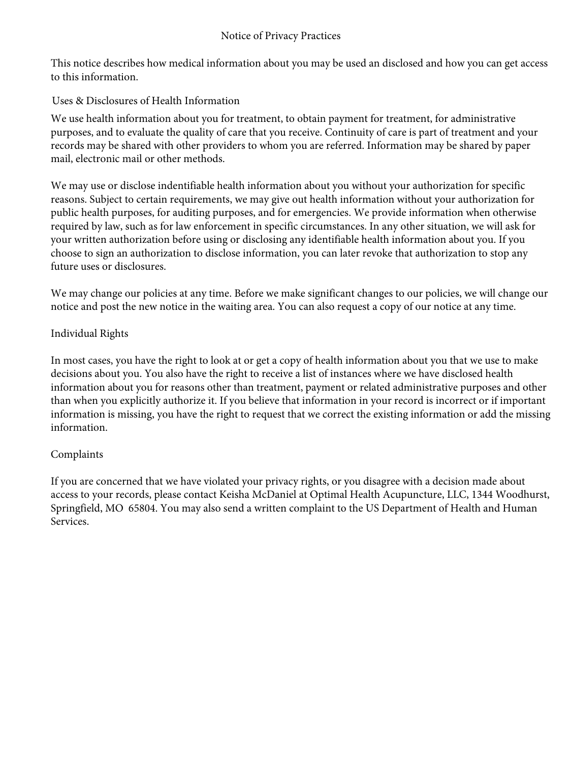This notice describes how medical information about you may be used an disclosed and how you can get access to this information.

#### Uses & Disclosures of Health Information

We use health information about you for treatment, to obtain payment for treatment, for administrative purposes, and to evaluate the quality of care that you receive. Continuity of care is part of treatment and your records may be shared with other providers to whom you are referred. Information may be shared by paper mail, electronic mail or other methods.

We may use or disclose indentifiable health information about you without your authorization for specific reasons. Subject to certain requirements, we may give out health information without your authorization for public health purposes, for auditing purposes, and for emergencies. We provide information when otherwise required by law, such as for law enforcement in specific circumstances. In any other situation, we will ask for your written authorization before using or disclosing any identifiable health information about you. If you choose to sign an authorization to disclose information, you can later revoke that authorization to stop any future uses or disclosures.

We may change our policies at any time. Before we make significant changes to our policies, we will change our notice and post the new notice in the waiting area. You can also request a copy of our notice at any time.

#### Individual Rights

In most cases, you have the right to look at or get a copy of health information about you that we use to make decisions about you. You also have the right to receive a list of instances where we have disclosed health information about you for reasons other than treatment, payment or related administrative purposes and other than when you explicitly authorize it. If you believe that information in your record is incorrect or if important information is missing, you have the right to request that we correct the existing information or add the missing information.

#### Complaints

If you are concerned that we have violated your privacy rights, or you disagree with a decision made about access to your records, please contact Keisha McDaniel at Optimal Health Acupuncture, LLC, 1344 Woodhurst, Springfield, MO 65804. You may also send a written complaint to the US Department of Health and Human Services.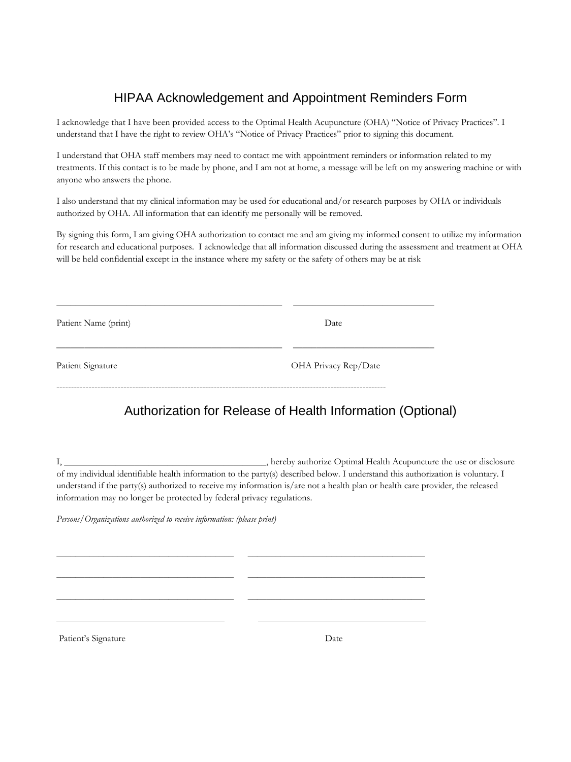# HIPAA Acknowledgement and Appointment Reminders Form

I acknowledge that I have been provided access to the Optimal Health Acupuncture (OHA) "Notice of Privacy Practices". I understand that I have the right to review OHA's "Notice of Privacy Practices" prior to signing this document.

I understand that OHA staff members may need to contact me with appointment reminders or information related to my treatments. If this contact is to be made by phone, and I am not at home, a message will be left on my answering machine or with anyone who answers the phone.

I also understand that my clinical information may be used for educational and/or research purposes by OHA or individuals authorized by OHA. All information that can identify me personally will be removed.

By signing this form, I am giving OHA authorization to contact me and am giving my informed consent to utilize my information for research and educational purposes. I acknowledge that all information discussed during the assessment and treatment at OHA will be held confidential except in the instance where my safety or the safety of others may be at risk

| Patient Name (print) | Date                 |  |  |
|----------------------|----------------------|--|--|
| Patient Signature    | OHA Privacy Rep/Date |  |  |

\_\_\_\_\_\_\_\_\_\_\_\_\_\_\_\_\_\_\_\_\_\_\_\_\_\_\_\_\_\_\_\_\_\_\_\_\_\_ \_\_\_\_\_\_\_\_\_\_\_\_\_\_\_\_\_\_\_\_\_\_\_\_\_\_\_\_\_\_\_\_\_\_\_\_\_\_

\_\_\_\_\_\_\_\_\_\_\_\_\_\_\_\_\_\_\_\_\_\_\_\_\_\_\_\_\_\_\_\_\_\_\_\_\_\_ \_\_\_\_\_\_\_\_\_\_\_\_\_\_\_\_\_\_\_\_\_\_\_\_\_\_\_\_\_\_\_\_\_\_\_\_\_\_

\_\_\_\_\_\_\_\_\_\_\_\_\_\_\_\_\_\_\_\_\_\_\_\_\_\_\_\_\_\_\_\_\_\_\_\_\_\_ \_\_\_\_\_\_\_\_\_\_\_\_\_\_\_\_\_\_\_\_\_\_\_\_\_\_\_\_\_\_\_\_\_\_\_\_\_\_

\_\_\_\_\_\_\_\_\_\_\_\_\_\_\_\_\_\_\_\_\_\_\_\_\_\_\_\_\_\_\_\_\_\_\_\_\_\_\_\_\_\_\_\_\_\_\_\_ \_\_\_\_\_\_\_\_\_\_\_\_\_\_\_\_\_\_\_\_\_\_\_\_\_\_\_\_\_\_

## Authorization for Release of Health Information (Optional)

I, \_\_\_\_\_\_\_\_\_\_\_\_\_\_\_\_\_\_\_\_\_\_\_\_\_\_\_\_\_\_\_\_\_\_\_\_\_\_\_\_\_\_\_, hereby authorize Optimal Health Acupuncture the use or disclosure of my individual identifiable health information to the party(s) described below. I understand this authorization is voluntary. I understand if the party(s) authorized to receive my information is/are not a health plan or health care provider, the released information may no longer be protected by federal privacy regulations.

*Persons/Organizations authorized to receive information: (please print)* 

Patient's Signature Date